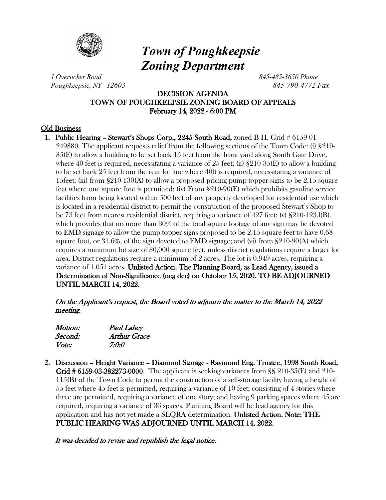

# *Town of Poughkeepsie Zoning Department*

*1 Overocker Road 845-485-3650 Phone Poughkeepsie, NY 12603 845-790-4772 Fax*

# DECISION AGENDA TOWN OF POUGHKEEPSIE ZONING BOARD OF APPEALS February 14, 2022 - 6:00 PM

# Old Business

**1.** Public Hearing – Stewart's Shops Corp., 2245 South Road, zoned B-H, Grid # 6159-01- 249880. The applicant requests relief from the following sections of the Town Code: (i) §210- 35(E) to allow a building to be set back 15 feet from the front yard along South Gate Drive, where 40 feet is required, necessitating a variance of 25 feet; (ii)  $\S210-35(E)$  to allow a building to be set back 25 feet from the rear lot line where 40ft is required, necessitating a variance of 15feet; (iii) from  $\S210-130(A)$  to allow a proposed pricing pump topper signs to be 2.15 square feet where one square foot is permitted; (iv) From §210-90(E) which prohibits gasoline service facilities from being located within 500 feet of any property developed for residential use which is located in a residential district to permit the construction of the proposed Stewart's Shop to be 73 feet from nearest residential district, requiring a variance of 427 feet; (v) §210-123.l(B), which provides that no more than 30% of the total square footage of any sign may be devoted to EMD signage to allow the pump topper signs proposed to be 2.15 square feet to have 0.68 square foot, or 31.6%, of the sign devoted to EMD signage; and (vi) from §210-90(A) which requires a minimum lot size of 30,000 square feet, unless district regulations require a larger lot area. District regulations require a minimum of 2 acres. The lot is 0.949 acres, requiring a variance of 1.051 acres. Unlisted Action. The Planning Board, as Lead Agency, issued a Determination of Non-Significance (neg dec) on October 15, 2020. TO BE ADJOURNED UNTIL MARCH 14, 2022.

On the Applicant's request, the Board voted to adjourn the matter to the March 14, 2022 meeting.

| Motion:      | <b>Paul Lahey</b> |
|--------------|-------------------|
| Second:      | Arthur Grace      |
| <i>Vote:</i> | 7:0:0             |

**2.** Discussion – Height Variance – Diamond Storage - Raymond Eng. Trustee, 1998 South Road, Grid # 6159-03-382273-0000. The applicant is seeking variances from §§ 210-35(E) and 210- 115(B) of the Town Code to permit the construction of a self-storage facility having a height of 55 feet where 45 feet is permitted, requiring a variance of 10 feet; consisting of 4 stories where three are permitted, requiring a variance of one story; and having 9 parking spaces where 45 are required, requiring a variance of 36 spaces. Planning Board will be lead agency for this application and has not yet made a SEQRA determination. Unlisted Action. Note: THE PUBLIC HEARING WAS ADJOURNED UNTIL MARCH 14, 2022.

It was decided to revise and republish the legal notice.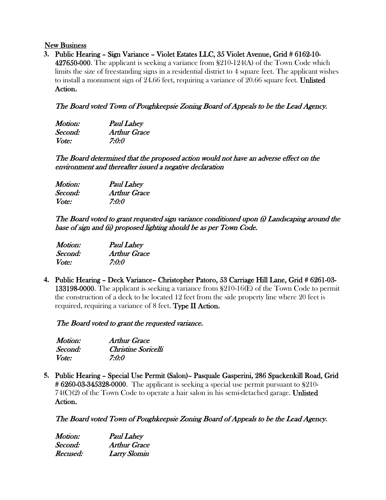#### New Business

**3.** Public Hearing – Sign Variance – Violet Estates LLC, 35 Violet Avenue, Grid # 6162-10-

427650-000. The applicant is seeking a variance from §210-124(A) of the Town Code which limits the size of freestanding signs in a residential district to 4 square feet. The applicant wishes to install a monument sign of 24.66 feet, requiring a variance of 20.66 square feet. Unlisted Action.

# The Board voted Town of Poughkeepsie Zoning Board of Appeals to be the Lead Agency.

| Motion:      | <b>Paul Lahey</b>   |
|--------------|---------------------|
| Second:      | <b>Arthur Grace</b> |
| <i>Vote:</i> | 7:0:0               |

The Board determined that the proposed action would not have an adverse effect on the environment and thereafter issued a negative declaration

| Motion: | <b>Paul Lahey</b> |
|---------|-------------------|
| Second: | Arthur Grace      |
| Vote:   | 7:0:0             |

The Board voted to grant requested sign variance conditioned upon (i) Landscaping around the base of sign and (ii) proposed lighting should be as per Town Code.

| <i>Motion:</i> | <b>Paul Lahey</b>   |
|----------------|---------------------|
| Second:        | <b>Arthur Grace</b> |
| <i>Vote:</i>   | 7:0:0               |

**4.** Public Hearing – Deck Variance– Christopher Patoro, 53 Carriage Hill Lane, Grid # 6261-03- 133198-0000. The applicant is seeking a variance from §210-16(E) of the Town Code to permit the construction of a deck to be located 12 feet from the side property line where 20 feet is required, requiring a variance of  $8$  feet. Type II Action.

The Board voted to grant the requested variance.

| Motion:      | <b>Arthur Grace</b> |
|--------------|---------------------|
| Second:      | Christine Soricelli |
| <i>Vote:</i> | 7:0:0               |

**5.** Public Hearing – Special Use Permit (Salon)– Pasquale Gasperini, 286 Spackenkill Road, Grid  $\#6260-03-345328-0000$ . The applicant is seeking a special use permit pursuant to  $\S210 74(C)(2)$  of the Town Code to operate a hair salon in his semi-detached garage. Unlisted Action.

The Board voted Town of Poughkeepsie Zoning Board of Appeals to be the Lead Agency.

| Motion:  | <b>Paul Lahey</b>   |
|----------|---------------------|
| Second:  | <b>Arthur Grace</b> |
| Recused: | <b>Larry Slomin</b> |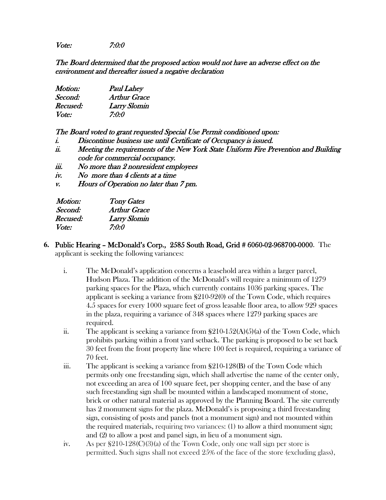Vote: 7:0:0

The Board determined that the proposed action would not have an adverse effect on the environment and thereafter issued a negative declaration

| Motion:  | <b>Paul Lahey</b>   |
|----------|---------------------|
| Second:  | <b>Arthur Grace</b> |
| Recused: | <b>Larry Slomin</b> |
| Vote:    | 7:0:0               |

The Board voted to grant requested Special Use Permit conditioned upon:

- i. Discontinue business use until Certificate of Occupancy is issued.
- ii. Meeting the requirements of the New York State Uniform Fire Prevention and Building code for commercial occupancy.
- iii. No more than 2 nonresident employees
- iv. No more than 4 clients at a time
- v. Hours of Operation no later than 7 pm.

| <b>Tony Gates</b>   |
|---------------------|
| <b>Arthur Grace</b> |
| Larry Slomin        |
| 7:0:0               |
|                     |

- **6.** Public Hearing McDonald's Corp., 2585 South Road, Grid # 6060-02-968700-0000. The applicant is seeking the following variances:
	- i. The McDonald's application concerns a leasehold area within a larger parcel, Hudson Plaza. The addition of the McDonald's will require a minimum of 1279 parking spaces for the Plaza, which currently contains 1036 parking spaces. The applicant is seeking a variance from §210-92(0) of the Town Code, which requires 4.5 spaces for every 1000 square feet of gross leasable floor area, to allow 929 spaces in the plaza, requiring a variance of 348 spaces where 1279 parking spaces are required.
	- ii. The applicant is seeking a variance from  $\S210-152(A)(5)(a)$  of the Town Code, which prohibits parking within a front yard setback. The parking is proposed to be set back 30 feet from the front property line where 100 feet is required, requiring a variance of 70 feet.
	- iii. The applicant is seeking a variance from  $\S210-128(B)$  of the Town Code which permits only one freestanding sign, which shall advertise the name of the center only, not exceeding an area of 100 square feet, per shopping center, and the base of any such freestanding sign shall be mounted within a landscaped monument of stone, brick or other natural material as approved by the Planning Board. The site currently has 2 monument signs for the plaza. McDonald's is proposing a third freestanding sign, consisting of posts and panels (not a monument sign) and not mounted within the required materials, requiring two variances: (1) to allow a third monument sign; and (2) to allow a post and panel sign, in lieu of a monument sign.
	- iv. As per  $$210-128(C)(3)$  of the Town Code, only one wall sign per store is permitted. Such signs shall not exceed 25% of the face of the store (excluding glass),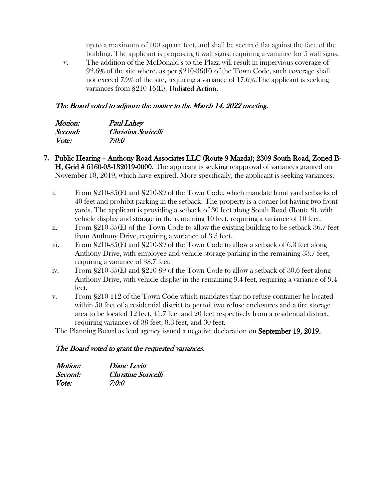up to a maximum of 100 square feet, and shall be secured flat against the face of the building. The applicant is proposing 6 wall signs, requiring a variance for 5 wall signs.

v. The addition of the McDonald's to the Plaza will result in impervious coverage of 92.6% of the site where, as per §210-36(E) of the Town Code, such coverage shall not exceed 75% of the site, requiring a variance of 17.6%.The applicant is seeking variances from  $\S210-16$ (E). Unlisted Action.

#### The Board voted to adjourn the matter to the March 14, 2022 meeting.

| Motion:      | <b>Paul Lahey</b>   |
|--------------|---------------------|
| Second:      | Christina Soricelli |
| <i>Vote:</i> | 7:0:0               |

- **7.** Public Hearing Anthony Road Associates LLC (Route 9 Mazda); 2309 South Road, Zoned B-H, Grid # 6160-03-132019-0000. The applicant is seeking reapproval of variances granted on November 18, 2019, which have expired. More specifically, the applicant is seeking variances:
	- i. From §210-35(E) and §210-89 of the Town Code, which mandate front yard setbacks of 40 feet and prohibit parking in the setback. The property is a corner lot having two front yards. The applicant is providing a setback of 30 feet along South Road (Route 9), with vehicle display and storage in the remaining 10 feet, requiring a variance of 10 feet.
	- ii. From  $\S210-35(E)$  of the Town Code to allow the existing building to be setback 36.7 feet from Anthony Drive, requiring a variance of 3.3 feet.
	- iii. From  $\S210-35(E)$  and  $\S210-89$  of the Town Code to allow a setback of 6.3 feet along Anthony Drive, with employee and vehicle storage parking in the remaining 33.7 feet, requiring a variance of 33.7 feet.
	- iv. From §210-35(E) and §210-89 of the Town Code to allow a setback of 30.6 feet along Anthony Drive, with vehicle display in the remaining 9.4 feet, requiring a variance of 9.4 feet.
	- v. From §210-112 of the Town Code which mandates that no refuse container be located within 50 feet of a residential district to permit two refuse enclosures and a tire storage area to be located 12 feet, 41.7 feet and 20 feet respectively from a residential district, requiring variances of 38 feet, 8.3 feet, and 30 feet.

The Planning Board as lead agency issued a negative declaration on September 19, 2019.

# The Board voted to grant the requested variances.

| <i>Motion:</i> | Diane Levitt        |
|----------------|---------------------|
| Second:        | Christine Soricelli |
| <i>Vote:</i>   | 7:0:0               |